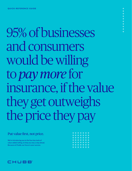95% of businesses and consumers would be willing to *pay more* for insurance, if the value they get outweighs the price they pay

#### Put value first, not price.

We're introducing you to the four key tools of value-added selling, to help you stay a step ahead. Because at Chubb, our focus is your success.

|  | + + + + + + +   |  |
|--|-----------------|--|
|  | $+ + + + + + +$ |  |
|  | +++++++         |  |
|  |                 |  |
|  | $+ + + + + + +$ |  |
|  | +++++++         |  |
|  | $+ + + + + + +$ |  |
|  | $+ + + + + + +$ |  |



+++++++++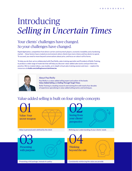# Introducing *Selling in Uncertain Times*

## Your clients' challenges have changed. So your challenges have changed.

Rapid digitisation, competition from direct carriers and insurtech players, economic instability and a hardening market — these factors have created an environment where clients have more choice and less desire to spend. To succeed, you need to move beyond conversations about price, and focus on value in all its forms.

To help you do that, we've collaborated with Paul Reilly, sales training specialist and President of Reilly Training, to produce a wide range of materials that will help you discover value-added sales tactics and put them into practice. We've created videos, case studies, an in-depth virtual sales training session and more — explore the resources at **chubb.com/sellinginuncertaintimes/au**



#### About Paul Reilly

Paul Reilly is a value-added selling expert and author of the books **Value-Added Selling** and **Selling Through Tough Times**.

Reilly Training is a leading research and training firm with nearly four decades of experience specialising in value-added selling tactics and techniques.

## Value-added selling is built on four simple concepts

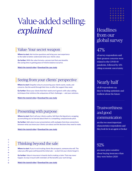# Value-added selling: *explained*

#### Value: Your secret weapon

Where to start: Ask incisive questions and bring your own experience to the table to better understand what your clients value.

Go further: With the value formula, a proven tool that uses benefits like saving time or gaining peace of mind to balance out price.

Watch the tutorial video | Download the case study

#### Seeing from your clients' perspective

Where to start: Empathy is key to uncovering your clients wants, needs, and concerns. See the world through their lens, to offer the support they need.

Go further: Show your clients that their needs aren't generic with value-adding techniques that reinforce the uniqueness of their challenges — and your solutions.

Watch the tutorial video | Download the case study

#### Presenting with purpose

Where to start: Don't sell your clients a policy. Sell them the big picture, wrapping up everything you've learned about them in a compelling, compassionate pitch.

Go further: Add value to your presentations with analogies that draw connections between what you know your clients care about and the decisions they need to make.

Watch the tutorial video | Download the case study

## Thinking beyond the sale

Where to start: If you're not treating clients like prospects, someone else will. The value you offer goes well beyond the initial sale — so don't let your clients forget it.

Go further: Value in insurance is heavily tied to making a claim. That may never happen. So stay in touch with reminders of the benefits your work brings.

Watch the tutorial video | Download the case study

|  | $+ + + + + +$   |
|--|-----------------|
|  | $+ + + + + +$   |
|  | $+ + + + + + +$ |
|  | $+ + + + + + +$ |
|  | $+++++$         |
|  | $+ + + + + + +$ |

# **Headlines** from our global survey

# 47%

of survey respondents said their greatest concerns were related to the COVID-19 pandemic, followed by 43% citing economic uncertainty

# Nearly half

of all respondents say they're feeling optimistic and resilient about the future

### **Trustworthiness** and good communication

are the two most important characteristics respondents said they look for in an agent or broker

### 92%

are more price-sensitive about buying insurance than they were before 2020